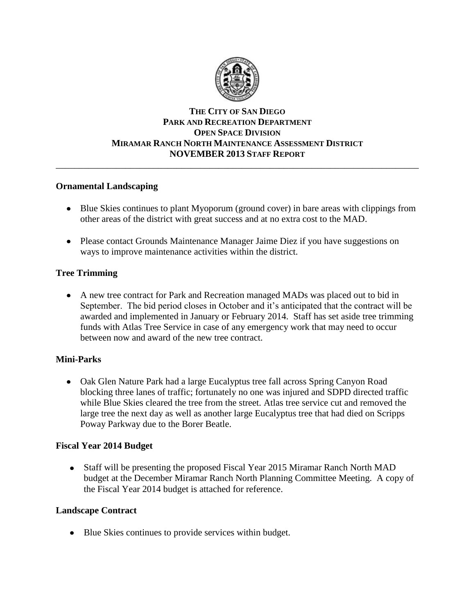

### **THE CITY OF SAN DIEGO PARK AND RECREATION DEPARTMENT OPEN SPACE DIVISION MIRAMAR RANCH NORTH MAINTENANCE ASSESSMENT DISTRICT NOVEMBER 2013 STAFF REPORT** \_\_\_\_\_\_\_\_\_\_\_\_\_\_\_\_\_\_\_\_\_\_\_\_\_\_\_\_\_\_\_\_\_\_\_\_\_\_\_\_\_\_\_\_\_\_\_\_\_\_\_\_\_\_\_\_\_\_\_\_\_\_\_\_\_\_\_\_\_\_\_\_\_\_\_\_\_\_

### **Ornamental Landscaping**

- Blue Skies continues to plant Myoporum (ground cover) in bare areas with clippings from other areas of the district with great success and at no extra cost to the MAD.
- Please contact Grounds Maintenance Manager Jaime Diez if you have suggestions on ways to improve maintenance activities within the district.

## **Tree Trimming**

A new tree contract for Park and Recreation managed MADs was placed out to bid in September. The bid period closes in October and it's anticipated that the contract will be awarded and implemented in January or February 2014. Staff has set aside tree trimming funds with Atlas Tree Service in case of any emergency work that may need to occur between now and award of the new tree contract.

## **Mini-Parks**

• Oak Glen Nature Park had a large Eucalyptus tree fall across Spring Canyon Road blocking three lanes of traffic; fortunately no one was injured and SDPD directed traffic while Blue Skies cleared the tree from the street. Atlas tree service cut and removed the large tree the next day as well as another large Eucalyptus tree that had died on Scripps Poway Parkway due to the Borer Beatle.

## **Fiscal Year 2014 Budget**

• Staff will be presenting the proposed Fiscal Year 2015 Miramar Ranch North MAD budget at the December Miramar Ranch North Planning Committee Meeting. A copy of the Fiscal Year 2014 budget is attached for reference.

## **Landscape Contract**

• Blue Skies continues to provide services within budget.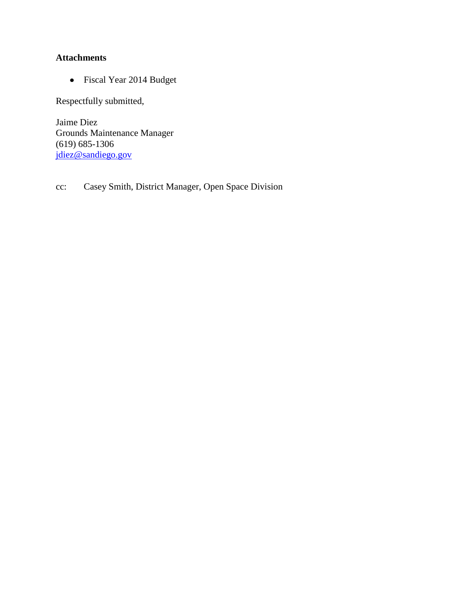## **Attachments**

Fiscal Year 2014 Budget

Respectfully submitted,

Jaime Diez Grounds Maintenance Manager (619) 685-1306 [jdiez@sandiego.gov](mailto:jdiez@sandiego.gov)

## cc: Casey Smith, District Manager, Open Space Division